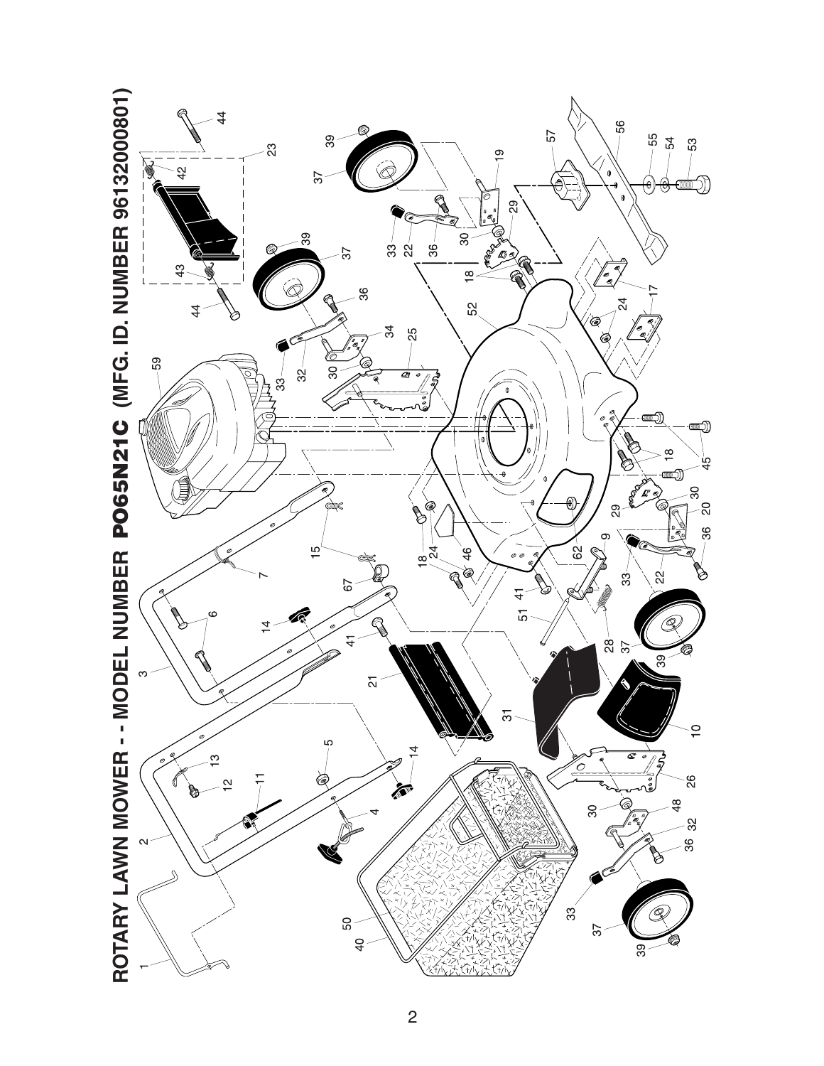